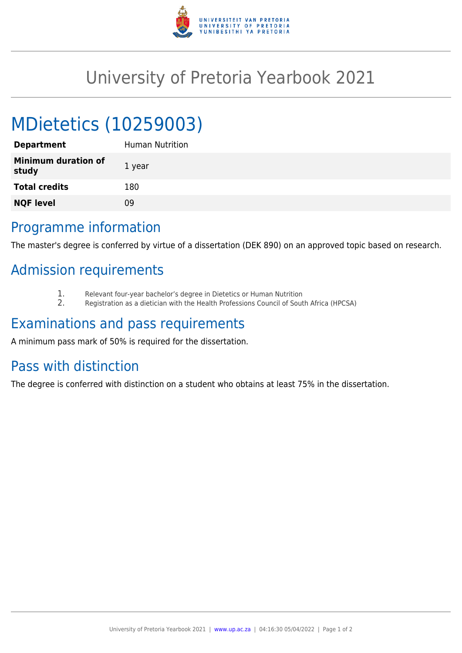

## University of Pretoria Yearbook 2021

# MDietetics (10259003)

| <b>Department</b>                   | Human Nutrition |
|-------------------------------------|-----------------|
| <b>Minimum duration of</b><br>study | 1 year          |
| <b>Total credits</b>                | 180             |
| <b>NQF level</b>                    | 09              |
|                                     |                 |

### Programme information

The master's degree is conferred by virtue of a dissertation (DEK 890) on an approved topic based on research.

## Admission requirements

- 1. Relevant four-year bachelor's degree in Dietetics or Human Nutrition
- 2. Registration as a dietician with the Health Professions Council of South Africa (HPCSA)

### Examinations and pass requirements

A minimum pass mark of 50% is required for the dissertation.

#### Pass with distinction

The degree is conferred with distinction on a student who obtains at least 75% in the dissertation.